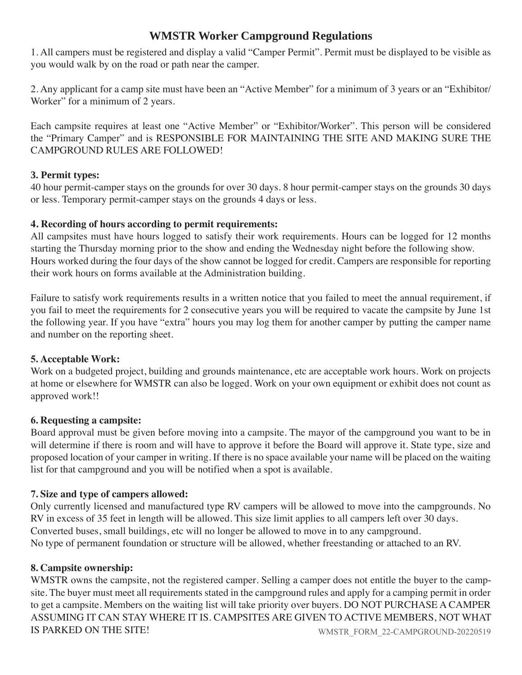# **WMSTR Worker Campground Regulations**

1. All campers must be registered and display a valid "Camper Permit". Permit must be displayed to be visible as you would walk by on the road or path near the camper.

2. Any applicant for a camp site must have been an "Active Member" for a minimum of 3 years or an "Exhibitor/ Worker" for a minimum of 2 years.

Each campsite requires at least one "Active Member" or "Exhibitor/Worker". This person will be considered the "Primary Camper" and is RESPONSIBLE FOR MAINTAINING THE SITE AND MAKING SURE THE CAMPGROUND RULES ARE FOLLOWED!

## **3. Permit types:**

40 hour permit-camper stays on the grounds for over 30 days. 8 hour permit-camper stays on the grounds 30 days or less. Temporary permit-camper stays on the grounds 4 days or less.

## **4. Recording of hours according to permit requirements:**

All campsites must have hours logged to satisfy their work requirements. Hours can be logged for 12 months starting the Thursday morning prior to the show and ending the Wednesday night before the following show. Hours worked during the four days of the show cannot be logged for credit. Campers are responsible for reporting their work hours on forms available at the Administration building.

Failure to satisfy work requirements results in a written notice that you failed to meet the annual requirement, if you fail to meet the requirements for 2 consecutive years you will be required to vacate the campsite by June 1st the following year. If you have "extra" hours you may log them for another camper by putting the camper name and number on the reporting sheet.

# **5. Acceptable Work:**

Work on a budgeted project, building and grounds maintenance, etc are acceptable work hours. Work on projects at home or elsewhere for WMSTR can also be logged. Work on your own equipment or exhibit does not count as approved work!!

## **6. Requesting a campsite:**

Board approval must be given before moving into a campsite. The mayor of the campground you want to be in will determine if there is room and will have to approve it before the Board will approve it. State type, size and proposed location of your camper in writing. If there is no space available your name will be placed on the waiting list for that campground and you will be notified when a spot is available.

# **7. Size and type of campers allowed:**

Only currently licensed and manufactured type RV campers will be allowed to move into the campgrounds. No RV in excess of 35 feet in length will be allowed. This size limit applies to all campers left over 30 days. Converted buses, small buildings, etc will no longer be allowed to move in to any campground. No type of permanent foundation or structure will be allowed, whether freestanding or attached to an RV.

# **8. Campsite ownership:**

WMSTR owns the campsite, not the registered camper. Selling a camper does not entitle the buyer to the campsite. The buyer must meet all requirements stated in the campground rules and apply for a camping permit in order to get a campsite. Members on the waiting list will take priority over buyers. DO NOT PURCHASE A CAMPER ASSUMING IT CAN STAY WHERE IT IS. CAMPSITES ARE GIVEN TO ACTIVE MEMBERS, NOT WHAT IS PARKED ON THE SITE! WMSTR\_FORM\_22-CAMPGROUND-20220519